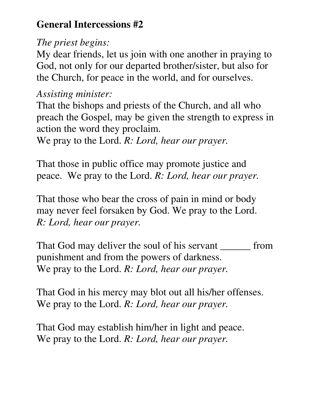## **General Intercessions #2**

## *The priest begins:*

My dear friends, let us join with one another in praying to God, not only for our departed brother/sister, but also for the Church, for peace in the world, and for ourselves.

## *Assisting minister:*

That the bishops and priests of the Church, and all who preach the Gospel, may be given the strength to express in action the word they proclaim.

We pray to the Lord. *R: Lord, hear our prayer.* 

That those in public office may promote justice and peace. We pray to the Lord. *R: Lord, hear our prayer.* 

That those who bear the cross of pain in mind or body may never feel forsaken by God. We pray to the Lord. *R: Lord, hear our prayer.* 

That God may deliver the soul of his servant \_\_\_\_\_\_\_ from punishment and from the powers of darkness. We pray to the Lord. *R: Lord, hear our prayer.* 

That God in his mercy may blot out all his/her offenses. We pray to the Lord. *R: Lord, hear our prayer.* 

That God may establish him/her in light and peace. We pray to the Lord. *R: Lord, hear our prayer.*